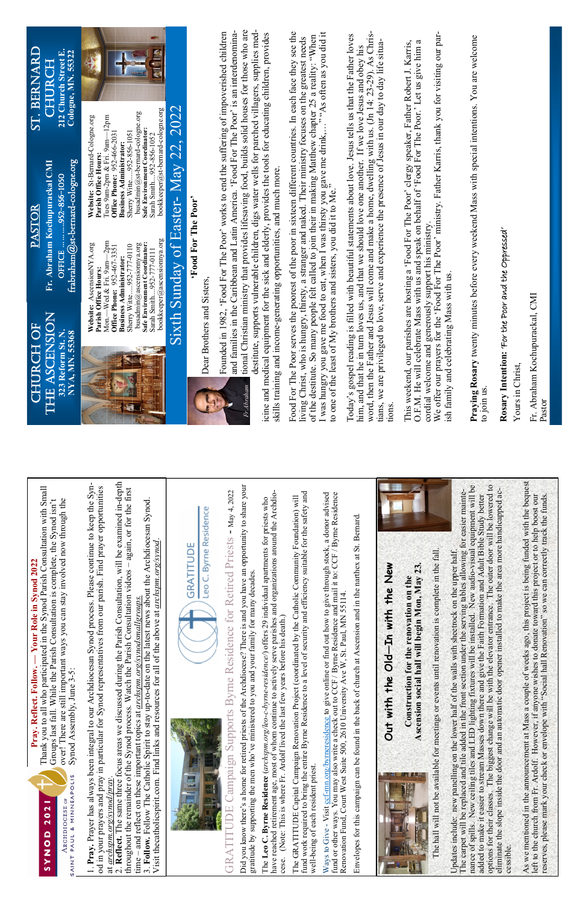|                      | ated in the Synod Parish Consultation |
|----------------------|---------------------------------------|
|                      |                                       |
|                      |                                       |
|                      |                                       |
| 12022                |                                       |
|                      |                                       |
|                      |                                       |
|                      |                                       |
|                      |                                       |
|                      |                                       |
| Jour Role in Synod 7 |                                       |
|                      |                                       |
|                      |                                       |
|                      |                                       |
|                      |                                       |

Thank you to all who participated in the Synod Parish Consultation with Small with Small Groups last fall. While the Parish Consultation is complete, the Synod isn't over! There are still important ways you can stay involved now through the Groups last fall. While the Parish Consultation is complete, the Synod isn't over! There are still important ways you can stay involved now through the  **Pray. Reflect. Follow. — Your Role in Synod 2022**  Thank you to all who particip Synod Assembly, June 3-5: Synod Assembly, June 3-5: Prav. Reflect. Follow.

1. Pray. Prayer has always been integral to our Archdiocesan Synod process. Please continue to keep the Syn-1. **Pray.** Prayer has always been integral to our Archdiocesan Synod process. Please continue to keep the Synod in your prayers and pray in particular for Synod representatives from our parish. Find prayer opportunities od in your prayers and pray in particular for Synod representatives from our parish. Find prayer opportunities at *archspm.org/synod/pray*. at archspm.org/synod/pray

2. **Reflect.** The same three focus areas we discussed during the Parish Consultation, will be examined in-depth the Parish Consultation, will be examined in-depth throughout the remainder of the Synod process. Watch the Parish Consultation videos – again, or for the first Parish Consultation videos - again, or for the first 3. **Follow.** Follow The Catholic Spirit to stay up-to-date on the latest news about the Archdiocesan Synod. 3. Follow. Follow The Catholic Spirit to stay up-to-date on the latest news about the Archdiocesan Synod. Visit thecatholicspirit.com. Find links and resources for all of the above at *archspm.org/synod*. of the above at *archspm.org/synod* time – and reflect on these important topics at *archspm.org/synodsmallgroups.*  time – and reflect on these important topics at *archspm.org/synodsmallgroups*. 2. Reflect. The same three focus areas we discussed during throughout the remainder of the Synod process. Watch the Visit thecatholicspirit.com. Find links and resources for all



Leo C. Byrne Residence

## GRATITUDE Campaign Supports Byrne Residence for Retired Priests - May 4, 2022 GRATITUDE Campaign Supports Byrne Residence for Retired Priests - May 4, 2022



Did you know there's a home for retired priests of the Archdiocese? There is and you have an opportunity to share your Did you know there's a home for retired priests of the Archdiocese? There is and you have an opportunity to share your gratitude by supporting the men who've ministered to you and your family for many decades. our family for many decades. gratitude by supporting the men who've ministered to you and yo

serve parishes and organizations around the Archdiohave reached retirement age, most of whom continue to actively serve parishes and organizations around the Archdio-The **Leo C. Byrne Residence** (*archspm.org/leo-c-byrne-residence/*) offers 29 individual apartments for priests who The Leo C. Byrne Residence (archspm.org/leo-c-byrne-residence/) offers 29 individual apartments for priests who cese. (Note: This is where Fr. Ardolf lived the last few years before his death.) cese. (Note: This is where Fr. Ardolf lived the last few years before his death.) have reached retirement age, most of whom continue to actively

fund work required to bring the entire Byrne Residence to a level of security and efficiency suitable for the safety and I of security and efficiency suitable for the safety and The GRATITUDE Capital Campaign Renovation Project (coordinated by the Catholic Community Foundation) will The GRATITUDE Capital Campaign Renovation Project (coordinated by the Catholic Community Foundation) will fund work required to bring the entire Byrne Residence to a leve well-being of each resident priest. well-being of each resident priest.

Ways to Give - Visit ccf-mn.org/byrneresidence to give online or find out how to give through stock, a donor advised Ways to Give - Visit cof-mn.org/bymeresidence to give online or find out how to give through stock, a donor advised fund or other ways. You may also write a check out to CCF / Byrne Residence and mail it to: CCF / Byrne Residence fund or other ways. You may also write a check out to CCF / Byrne Residence and mail it to: CCF / Byrne Residence Renovation Fund, Court West Suite 500, 2610 University Ave W, St. Paul, MN 55114. , St. Paul, MN 55114. Renovation Fund, Court West Suite 500, 2610 University Ave W

Envelopes for this campaign can be found in the back of church at Ascension and in the narthex at St. Bernard. at Ascension and in the narthex at St. Bernard. Envelopes for this campaign can be found in the back of church

**Out with the Old—In with the New**  Id-In with the New

Out with the OI

**Ascension social hall will begin Mon, May 23.**  II will begin Mon, May 23 **Construction for the renovation on the**  Construction for the renovation on the Ascension social ha

The hall will not be available for meetings or events until renovation is complete in the fall. The hall will not be available for meetings or events until renovation is complete in the fall

The carpet will be replaced and tile added in the front section under the serving tables allowing for easier mainte-<br>nance of spills. New ceiling tiles and LED lighting fixtures will be installed. New audio-visual equipmen nance of spills. New ceiling tiles and LED lighting fixtures will be installed. New audio-visual equipment will be options for their classes. The biggest change will be with the elevator entrance. The outer door will be lowered to elevator entrance. The outer door will be lowered to eliminate the slope inside the door and an automatic door opener installed to make the area more handicapped aceliminate the slope inside the door and an automatic door opener installed to make the area more handicapped ac-The carpet will be replaced and tile added in the front section under the serving tables allowing for easier mainteadded to make it easier to stream Masses down there and give the Faith Formation and Adult Bible Study better added to make it easier to stream Masses down there and give the Faith Formation and Adult Bible Study better Updates include: new panelling on the lower half of the walls with sheetrock on the upper half. Updates include: new panelling on the lower half of the walls with sheetrock on the upper half. options for their classes. The biggest change will be with the cessible. cessible.

As we mentioned in the announcement at Mass a couple of weeks ago, this project is being funded with the bequest As we mentioned in the announcement at Mass a couple of weeks ago, this project is being funded with the bequest<br>left to the church from Fr. Ardolf. However, if anyone wishes to donate toward this project or to help boost reserves, please mark your check or envelope with "Social hall Renovation" so we can correctly track the funds. I Renovation" so we can correctly track the funds. to donate toward this project or to help boost our left to the church from Fr. Ardolf. However, if anyone wishes to donate toward this project or to help boost our reserves, please mark your check or envelope with "Social hal

## THE ASCENSION THE ASCENSION CHURCH OF CHURCH OF

**323 Reform St. N.**  323 Reform St. N. **NYA, MN. 55368**  NYA, MN. 55368

frabraham $@$ st-bernard-cologne.org PASTOR **Fr. Abraham Kochupurackal CMI**  Fr. Abraham Kochupurackal CMI frabraham@st-bernard-cologne.org OFFICE ………..952-856-1050 OFFICE ... ... ... .952-856-1050

bookkeeper@ascensionnya.org Mon.—Wed & Fri. 9am—2pm Mon.—Wed & Fri. 9am—2pm **Website:** AscensionNYA.org busadmin@ascensionnya.org **Safe Environment Coordinator:**  AscensionNYA.org Sherry Witte.....952-777-0110 busadmin@ascensiomya.org Safe Environment Coordinator: **Office Phone:** 952-467-3351 Sherry Witte.....952-777-0110 Office Phone: 952-467-3351 Sarah Smith....952-777-0111 Sarah Smith....952-777-0111 **Business Administrator: Business Administrator:**  Parish Office Hours: **Parish Office Hours:**  Website:

優

Sarah Smith....952-856-1052<br>bookkeeper@st-bernard-cologne.org bookkeeper@st-bernard-cologne.org busadmin@st-bernard-cologne.org busadmin@st-bernard-cologne.org Tues 9am-2pm & Fri. 9am—12pm Tues 9am-2pm & Fri. 9am-12pm Safe Environment Coordinator: **Safe Environment Coordinator:**  Sherry Witte.....952-856-1051 **Office Phone:** 952-466-2031 Office Phone: 952-466-2031 Sherry Witte.....952-856-1051 Sarah Smith....952-856-1052 **Business Administrator: Business Administrator: Parish Office Hours:**  Parish Office Hours:

> Dear Brothers and Sisters, Dear Brothers and Sisters,

We offer our prayers for the 'Food For The Poor' ministry. Father Karris, thank you for visiting our par-We offer our prayers for the 'Food For The Poor' ministry. Father Karris, thank you for visiting our par-This weekend, our parishes are hosting a 'Food For The Poor' clergy speaker, Father Robert J. Karris, O.F.M. He will celebrate Mass with us and speak on behalf of 'Food For The Poor.' Let us give him a This weekend, our parishes are hosting a 'Food For The Poor' clergy speaker, Father Robert J. Karris, O.F.M. He will celebrate Mass with us and speak on behalf of 'Food For The Poor.' Let us give him a cordial welcome and generously support his ministry. cordial welcome and generously support his ministry.

ish family and celebrating Mass with us. ish family and celebrating Mass with us.

Rosary Intention: 'For the Poor and the Oppressed' **Rosary Intention:** 'For the Poor and the Oppressed'

Yours in Christ, Yours in Christ,

ST. BERNARD CHURCH **212 Church Street E. Cologne, MN. 55322** 

ST. BERNARD

PASTOR

CHURCH

212 Church Street E.<br>Cologne, MN. 55322

bookkeeper@ascensionnya.org

**Website:** St-Bernard-Cologne.org

Website: St-Bernard-Cologne.org



## Sixth Sunday of Easter- May 22, 2022 Sixth Sunday of Easter- May 22, 2022 'Food For The Poor' **'Food For The Poor'**

tional Christian ministry that provides lifesaving food, builds solid houses for those who are tional Christian ministry that provides lifesaving food, builds solid houses for those who are Founded in 1982, 'Food For The Poor' works to end the suffering of impoverished children and families in the Caribbean and Latin America. 'Food For The Poor' is an interdenomina-Founded in 1982, 'Food For The Poor' works to end the suffering of impoverished children and families in the Caribbean and Latin America. 'Food For The Poor' is an interdenomina-

destitute, supports vulnerable children, digs water wells for parched villagers, supplies meddestitute, supports vulnerable children, digs water wells for parched villagers, supplies medicine and medical equipment for the sick and elderly, provides the tools for educating children, provides icine and medical equipment for the sick and elderly, provides the tools for educating children, provides skills training and income-generating opportunities, and much more. skills training and income-generating opportunities, and much more.

Food For The Poor serves the poorest of the poor in sixteen different countries. In each face they see the I was hungry you gave me food to eat, when I was thirsty you gave me drink,…" "As often as you did it I was hungry you gave me food to eat, when I was thirsty you gave me drink,..." "As often as you did it to one of the least of My brothers and sisters, you did it to Me." Food For The Poor serves the poorest of the poor in sixteen different countries. In each face they see the of the destitute. So many people felt called to join their in making Matthew chapter 25 a reality: "When of the destitute. So many people felt called to join their in making Matthew chapter 25 a reality: "When living Christ, who is hungry, thirsty, a stranger and naked. Their ministry focuses on the greatest needs living Christ, who is hungry, thirsty, a stranger and naked. Their ministry focuses on the greatest needs to one of the least of My brothers and sisters, you did it to Me."

Today's gospel reading is filled with beautiful statements about love. Jesus tells us that the Father loves word, then the Father and Jesus will come and make a home, dwelling with us. (Jn 14: 23-29). As Chrisword, then the Father and Jesus will come and make a home, dwelling with us. (Jn 14: 23-29). As Chris-Today's gospel reading is filled with beautiful statements about love. Jesus tells us that the Father loves tians, we are privileged to love, serve and experience the presence of Jesus in our day to day life situatians, we are privileged to love, serve and experience the presence of Jesus in our day to day life situahim, and that he in turn loves us, and that we should love one another. If we love Jesus and obey his him, and that he in turn loves us, and that we should love one another. If we love Jesus and obey his tions.

**Praying Rosary** twenty minutes before every weekend Mass with special intentions. You are welcome Praying Rosary twenty minutes before every weekend Mass with special intentions. You are welcome to join us.

Fr. Abraham Kochupurackal, CMI Fr. Abraham Kochupurackal, CMI Pastor



AINT PAUL & MINNEAPOLIS

ARCHDIOCESE OF